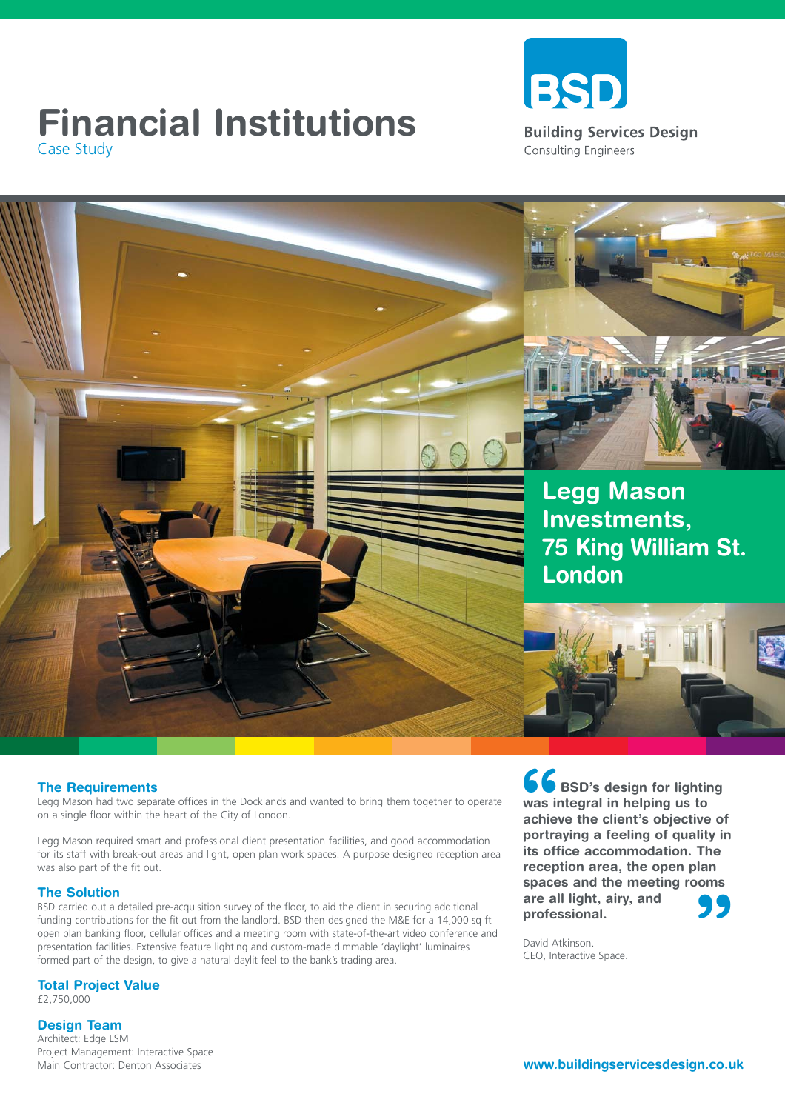## **Financial Institutions**<br>
Case Study<br>
Case Study Case Study





#### **The Requirements**

Legg Mason had two separate offices in the Docklands and wanted to bring them together to operate on a single floor within the heart of the City of London.

Legg Mason required smart and professional client presentation facilities, and good accommodation for its staff with break-out areas and light, open plan work spaces. A purpose designed reception area was also part of the fit out.

### **The Solution**

BSD carried out a detailed pre-acquisition survey of the floor, to aid the client in securing additional funding contributions for the fit out from the landlord. BSD then designed the M&E for a 14,000 sq ft open plan banking floor, cellular offices and a meeting room with state-of-the-art video conference and presentation facilities. Extensive feature lighting and custom-made dimmable 'daylight' luminaires formed part of the design, to give a natural daylit feel to the bank's trading area.

**Total Project Value**

£2,750,000

#### **Design Team**

Architect: Edge LSM Project Management: Interactive Space Main Contractor: Denton Associates

**66**<br>was in<br>achiev<br>portra **" BSD's design for lighting was integral in helping us to achieve the client's objective of portraying a feeling of quality in its office accommodation. The reception area, the open plan spaces and the meeting rooms are all light, airy, and professional.** 

David Atkinson. CEO, Interactive Space.